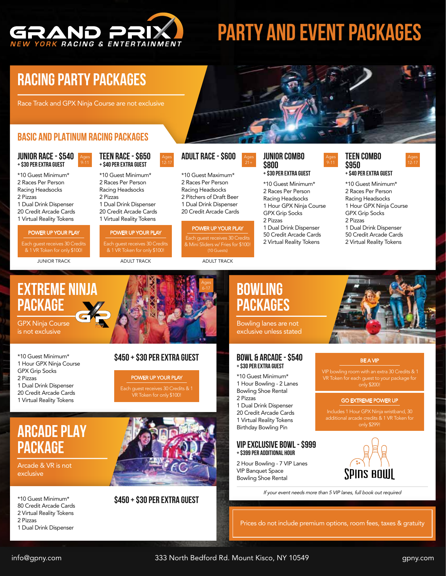

# **PARTY AND EVENT PACKAGES**

## **RACING PARTY PACKAGES**

Race Track and GPX Ninja Course are not exclusive

### **BASIC AND PLATINUM RACING PACKAGES**

Ages 9-11

#### **JUNIOR RACE - \$540 + \$30 Per EXTRA GUEST**

2 Races Per Person Racing Headsocks 2 Pizzas 1 Dual Drink Dispenser 20 Credit Arcade Cards 1 Virtual Reality Tokens

#### POWER UP YOUR PLAY

Each guest receives 30 Credits & 1 VR Token for only \$100!

**JUNIOR TRACK ADULT TRACK ADULT TRACK ADULT TRACK** 

### **TEEN RACE - \$650 + \$40 Per EXTRA GUEST**

Ages 12-17

\*10 Guest Minimum\* 2 Races Per Person Racing Headsocks 2 Pizzas 1 Dual Drink Dispenser 20 Credit Arcade Cards 1 Virtual Reality Tokens

### POWER UP YOUR PLAY

Each guest receives 30 Credits & 1 VR Token for only \$100!

### **ADULT RACE - \$600**

**+ \$40 Per EXTRA GUEST** \*10 Guest Minimum\* \*10 Guest Maximum\* 2 Races Per Person Racing Headsocks 2 Pitchers of Draft Beer 1 Dual Drink Dispenser 20 Credit Arcade Cards

### POWER UP YOUR PLAY

Each guest receives 30 Credits (10 Guests)

> Ages 6-17

### **JUNIOR COMBO \$800**

### **+ \$30 Per EXTRA GUEST**

\*10 Guest Minimum\* 2 Races Per Person Racing Headsocks 1 Hour GPX Ninja Course GPX Grip Socks 2 Pizzas 1 Dual Drink Dispenser 50 Credit Arcade Cards 2 Virtual Reality Tokens

### **TEEN COMBO \$950**<br>+ \$40 PER EXTRA GUEST

Ages 9-11

Ages 12-17

\*10 Guest Minimum\* 2 Races Per Person Racing Headsocks 1 Hour GPX Ninja Course GPX Grip Socks 2 Pizzas 1 Dual Drink Dispenser 50 Credit Arcade Cards 2 Virtual Reality Tokens

### **EXTREME NINJA PACKAGE**

GPX Ninja Course is not exclusive

\*10 Guest Minimum\* 1 Hour GPX Ninja Course GPX Grip Socks 2 Pizzas 1 Dual Drink Dispenser 20 Credit Arcade Cards 1 Virtual Reality Tokens

### **\$450 + \$30 Per EXTRA GUEST**

POWER UP YOUR PLAY

Each guest receives 30 Credits & 1 VR Token for only \$100!

### **Arcade PLAY PACKAGE**

Arcade & VR is not exclusive

\*10 Guest Minimum\*

- 80 Credit Arcade Cards
- 2 Virtual Reality Tokens 2 Pizzas
- 1 Dual Drink Dispenser



### **\$450 + \$30 Per EXTRA GUEST**

### **BOWLING PACKAGES**

Bowling lanes are not exclusive unless stated

#### **BOWL & ARCADE - \$540 + \$30 Per EXTRA GUEST**

- \*10 Guest Minimum\* 1 Hour Bowling - 2 Lanes Bowling Shoe Rental
- 2 Pizzas
- 1 Dual Drink Dispenser

20 Credit Arcade Cards 1 Virtual Reality Tokens Birthday Bowling Pin

#### **VIP EXCLUSIVE BOwL - \$999 + \$399 Per ADDITIONAL HOUR**

2 Hour Bowling - 7 VIP Lanes VIP Banquet Space Bowling Shoe Rental

 VIP bowling room with an extra 30 Credits & 1 only \$200!

#### GO EXTREME POWER UP

only \$299!



If your event needs more than 5 VIP lanes, full book out required

Prices do not include premium options, room fees, taxes & gratuity

info@gpny.com 333 North Bedford Rd. Mount Kisco, NY 10549 gpny.com